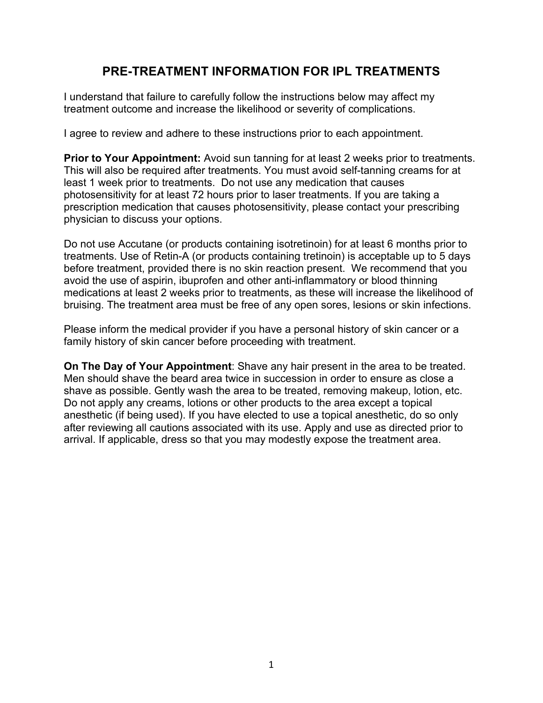# **PRE-TREATMENT INFORMATION FOR IPL TREATMENTS**

I understand that failure to carefully follow the instructions below may affect my treatment outcome and increase the likelihood or severity of complications.

I agree to review and adhere to these instructions prior to each appointment.

**Prior to Your Appointment:** Avoid sun tanning for at least 2 weeks prior to treatments. This will also be required after treatments. You must avoid self-tanning creams for at least 1 week prior to treatments. Do not use any medication that causes photosensitivity for at least 72 hours prior to laser treatments. If you are taking a prescription medication that causes photosensitivity, please contact your prescribing physician to discuss your options.

Do not use Accutane (or products containing isotretinoin) for at least 6 months prior to treatments. Use of Retin-A (or products containing tretinoin) is acceptable up to 5 days before treatment, provided there is no skin reaction present. We recommend that you avoid the use of aspirin, ibuprofen and other anti-inflammatory or blood thinning medications at least 2 weeks prior to treatments, as these will increase the likelihood of bruising. The treatment area must be free of any open sores, lesions or skin infections.

Please inform the medical provider if you have a personal history of skin cancer or a family history of skin cancer before proceeding with treatment.

**On The Day of Your Appointment**: Shave any hair present in the area to be treated. Men should shave the beard area twice in succession in order to ensure as close a shave as possible. Gently wash the area to be treated, removing makeup, lotion, etc. Do not apply any creams, lotions or other products to the area except a topical anesthetic (if being used). If you have elected to use a topical anesthetic, do so only after reviewing all cautions associated with its use. Apply and use as directed prior to arrival. If applicable, dress so that you may modestly expose the treatment area.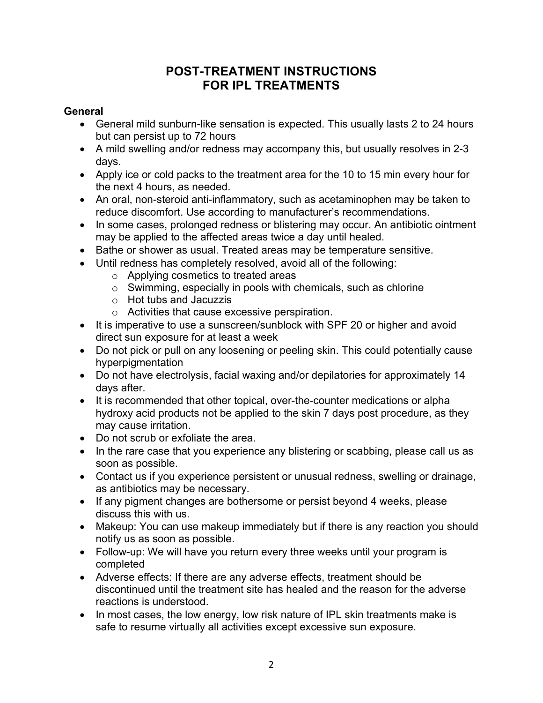# **POST-TREATMENT INSTRUCTIONS FOR IPL TREATMENTS**

### **General**

- General mild sunburn-like sensation is expected. This usually lasts 2 to 24 hours but can persist up to 72 hours
- A mild swelling and/or redness may accompany this, but usually resolves in 2-3 days.
- Apply ice or cold packs to the treatment area for the 10 to 15 min every hour for the next 4 hours, as needed.
- An oral, non-steroid anti-inflammatory, such as acetaminophen may be taken to reduce discomfort. Use according to manufacturer's recommendations.
- In some cases, prolonged redness or blistering may occur. An antibiotic ointment may be applied to the affected areas twice a day until healed.
- Bathe or shower as usual. Treated areas may be temperature sensitive.
- Until redness has completely resolved, avoid all of the following:
	- o Applying cosmetics to treated areas
	- o Swimming, especially in pools with chemicals, such as chlorine
	- o Hot tubs and Jacuzzis
	- o Activities that cause excessive perspiration.
- It is imperative to use a sunscreen/sunblock with SPF 20 or higher and avoid direct sun exposure for at least a week
- Do not pick or pull on any loosening or peeling skin. This could potentially cause hyperpigmentation
- Do not have electrolysis, facial waxing and/or depilatories for approximately 14 days after.
- It is recommended that other topical, over-the-counter medications or alpha hydroxy acid products not be applied to the skin 7 days post procedure, as they may cause irritation.
- Do not scrub or exfoliate the area.
- In the rare case that you experience any blistering or scabbing, please call us as soon as possible.
- Contact us if you experience persistent or unusual redness, swelling or drainage, as antibiotics may be necessary.
- If any pigment changes are bothersome or persist beyond 4 weeks, please discuss this with us.
- Makeup: You can use makeup immediately but if there is any reaction you should notify us as soon as possible.
- Follow-up: We will have you return every three weeks until your program is completed
- Adverse effects: If there are any adverse effects, treatment should be discontinued until the treatment site has healed and the reason for the adverse reactions is understood.
- In most cases, the low energy, low risk nature of IPL skin treatments make is safe to resume virtually all activities except excessive sun exposure.